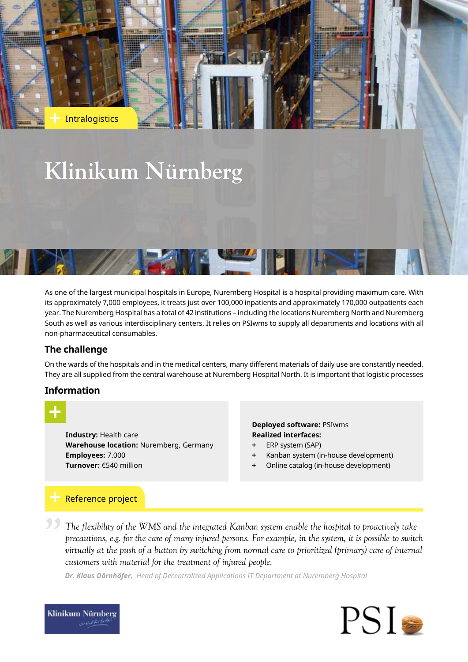

As one of the largest municipal hospitals in Europe, Nuremberg Hospital is a hospital providing maximum care. With its approximately 7,000 employees, it treats just over 100,000 inpatients and approximately 170,000 outpatients each year. The Nuremberg Hospital has a total of 42 institutions – including the locations Nuremberg North and Nuremberg South as well as various interdisciplinary centers. It relies on PSIwms to supply all departments and locations with all non-pharmaceutical consumables.

# **The challenge**

On the wards of the hospitals and in the medical centers, many different materials of daily use are constantly needed. They are all supplied from the central warehouse at Nuremberg Hospital North. It is important that logistic processes

## **Information**



**Industry:** Health care **Warehouse location:** Nuremberg, Germany **Employees:** 7.000 **Turnover:** €540 million

### **Deployed software:** PSIwms **Realized interfaces:**

- **+** ERP system (SAP)
- **+** Kanban system (in-house development)
- **+** Online catalog (in-house development)

# Reference project

*The flexibility of the WMS and the integrated Kanban system enable the hospital to proactively take precautions, e.g. for the care of many injured persons. For example, in the system, it is possible to switch virtually at the push of a button by switching from normal care to prioritized (primary) care of internal customers with material for the treatment of injured people.* **"**

*Dr. Klaus Dörnhöfer, Head of Decentralized Applications IT Department at Nuremberg Hospital*